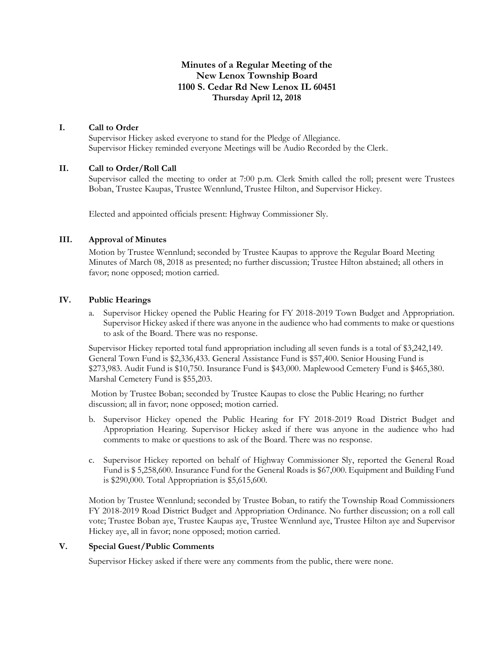# **Minutes of a Regular Meeting of the New Lenox Township Board 1100 S. Cedar Rd New Lenox IL 60451 Thursday April 12, 2018**

#### **I. Call to Order**

Supervisor Hickey asked everyone to stand for the Pledge of Allegiance. Supervisor Hickey reminded everyone Meetings will be Audio Recorded by the Clerk.

#### **II. Call to Order/Roll Call**

Supervisor called the meeting to order at 7:00 p.m. Clerk Smith called the roll; present were Trustees Boban, Trustee Kaupas, Trustee Wennlund, Trustee Hilton, and Supervisor Hickey.

Elected and appointed officials present: Highway Commissioner Sly.

# **III. Approval of Minutes**

Motion by Trustee Wennlund; seconded by Trustee Kaupas to approve the Regular Board Meeting Minutes of March 08, 2018 as presented; no further discussion; Trustee Hilton abstained; all others in favor; none opposed; motion carried.

#### **IV. Public Hearings**

a. Supervisor Hickey opened the Public Hearing for FY 2018-2019 Town Budget and Appropriation. Supervisor Hickey asked if there was anyone in the audience who had comments to make or questions to ask of the Board. There was no response.

Supervisor Hickey reported total fund appropriation including all seven funds is a total of \$3,242,149. General Town Fund is \$2,336,433. General Assistance Fund is \$57,400. Senior Housing Fund is \$273,983. Audit Fund is \$10,750. Insurance Fund is \$43,000. Maplewood Cemetery Fund is \$465,380. Marshal Cemetery Fund is \$55,203.

Motion by Trustee Boban; seconded by Trustee Kaupas to close the Public Hearing; no further discussion; all in favor; none opposed; motion carried.

- b. Supervisor Hickey opened the Public Hearing for FY 2018-2019 Road District Budget and Appropriation Hearing. Supervisor Hickey asked if there was anyone in the audience who had comments to make or questions to ask of the Board. There was no response.
- c. Supervisor Hickey reported on behalf of Highway Commissioner Sly, reported the General Road Fund is \$ 5,258,600. Insurance Fund for the General Roads is \$67,000. Equipment and Building Fund is \$290,000. Total Appropriation is \$5,615,600.

Motion by Trustee Wennlund; seconded by Trustee Boban, to ratify the Township Road Commissioners FY 2018-2019 Road District Budget and Appropriation Ordinance. No further discussion; on a roll call vote; Trustee Boban aye, Trustee Kaupas aye, Trustee Wennlund aye, Trustee Hilton aye and Supervisor Hickey aye, all in favor; none opposed; motion carried.

#### **V. Special Guest/Public Comments**

Supervisor Hickey asked if there were any comments from the public, there were none.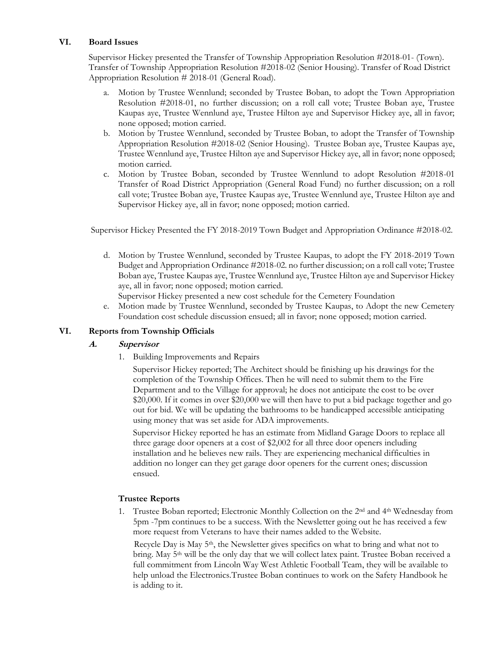#### **VI. Board Issues**

Supervisor Hickey presented the Transfer of Township Appropriation Resolution #2018-01- (Town). Transfer of Township Appropriation Resolution #2018-02 (Senior Housing). Transfer of Road District Appropriation Resolution # 2018-01 (General Road).

- a. Motion by Trustee Wennlund; seconded by Trustee Boban, to adopt the Town Appropriation Resolution #2018-01, no further discussion; on a roll call vote; Trustee Boban aye, Trustee Kaupas aye, Trustee Wennlund aye, Trustee Hilton aye and Supervisor Hickey aye, all in favor; none opposed; motion carried.
- b. Motion by Trustee Wennlund, seconded by Trustee Boban, to adopt the Transfer of Township Appropriation Resolution #2018-02 (Senior Housing). Trustee Boban aye, Trustee Kaupas aye, Trustee Wennlund aye, Trustee Hilton aye and Supervisor Hickey aye, all in favor; none opposed; motion carried.
- c. Motion by Trustee Boban, seconded by Trustee Wennlund to adopt Resolution #2018-01 Transfer of Road District Appropriation (General Road Fund) no further discussion; on a roll call vote; Trustee Boban aye, Trustee Kaupas aye, Trustee Wennlund aye, Trustee Hilton aye and Supervisor Hickey aye, all in favor; none opposed; motion carried.

Supervisor Hickey Presented the FY 2018-2019 Town Budget and Appropriation Ordinance #2018-02.

- d. Motion by Trustee Wennlund, seconded by Trustee Kaupas, to adopt the FY 2018-2019 Town Budget and Appropriation Ordinance #2018-02. no further discussion; on a roll call vote; Trustee Boban aye, Trustee Kaupas aye, Trustee Wennlund aye, Trustee Hilton aye and Supervisor Hickey aye, all in favor; none opposed; motion carried.
	- Supervisor Hickey presented a new cost schedule for the Cemetery Foundation
- e. Motion made by Trustee Wennlund, seconded by Trustee Kaupas, to Adopt the new Cemetery Foundation cost schedule discussion ensued; all in favor; none opposed; motion carried.

### **VI. Reports from Township Officials**

### **A. Supervisor**

1. Building Improvements and Repairs

Supervisor Hickey reported; The Architect should be finishing up his drawings for the completion of the Township Offices. Then he will need to submit them to the Fire Department and to the Village for approval; he does not anticipate the cost to be over \$20,000. If it comes in over \$20,000 we will then have to put a bid package together and go out for bid. We will be updating the bathrooms to be handicapped accessible anticipating using money that was set aside for ADA improvements.

Supervisor Hickey reported he has an estimate from Midland Garage Doors to replace all three garage door openers at a cost of \$2,002 for all three door openers including installation and he believes new rails. They are experiencing mechanical difficulties in addition no longer can they get garage door openers for the current ones; discussion ensued.

### **Trustee Reports**

1. Trustee Boban reported; Electronic Monthly Collection on the 2nd and 4th Wednesday from 5pm -7pm continues to be a success. With the Newsletter going out he has received a few more request from Veterans to have their names added to the Website.

Recycle Day is May  $5<sup>th</sup>$ , the Newsletter gives specifics on what to bring and what not to bring. May 5<sup>th</sup> will be the only day that we will collect latex paint. Trustee Boban received a full commitment from Lincoln Way West Athletic Football Team, they will be available to help unload the Electronics.Trustee Boban continues to work on the Safety Handbook he is adding to it.